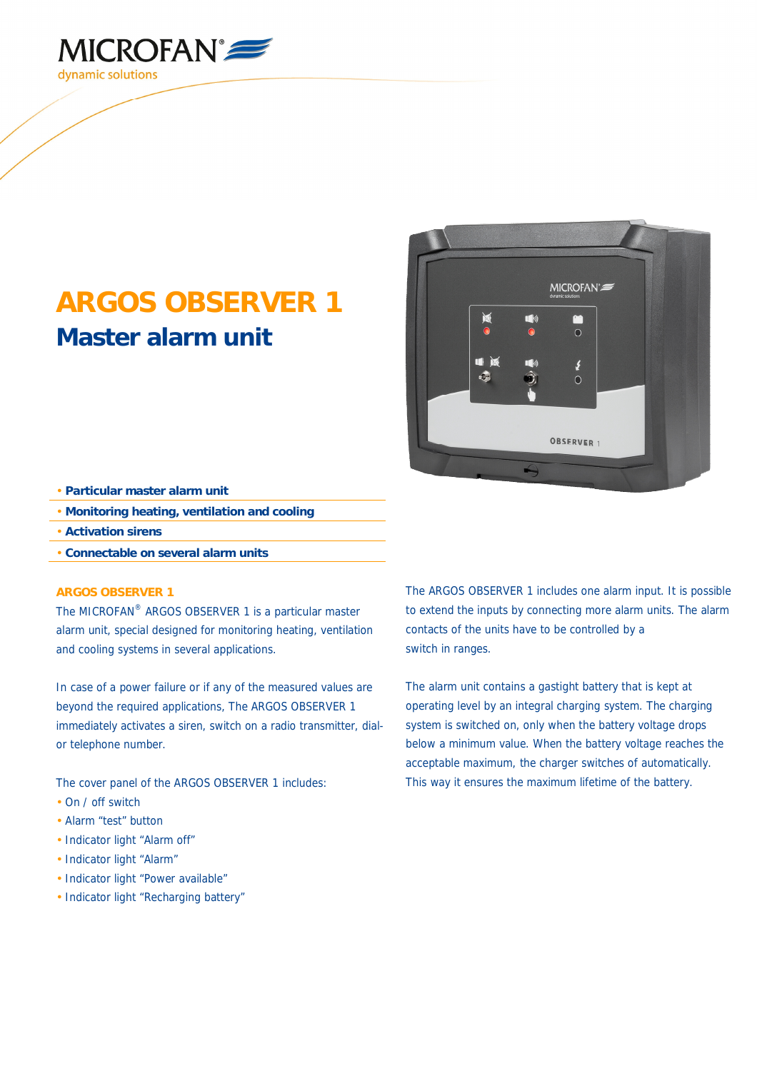

## **ARGOS OBSERVER 1 Master alarm unit**



- **Particular master alarm unit**
- **Monitoring heating, ventilation and cooling**
- **Activation sirens**
- **Connectable on several alarm units**

## **ARGOS OBSERVER 1**

The MICROFAN® ARGOS OBSERVER 1 is a particular master alarm unit, special designed for monitoring heating, ventilation and cooling systems in several applications.

In case of a power failure or if any of the measured values are beyond the required applications, The ARGOS OBSERVER 1 immediately activates a siren, switch on a radio transmitter, dialor telephone number.

The cover panel of the ARGOS OBSERVER 1 includes:

- On / off switch
- Alarm "test" button
- Indicator light "Alarm off"
- Indicator light "Alarm"
- Indicator light "Power available"
- Indicator light "Recharging battery"

The ARGOS OBSERVER 1 includes one alarm input. It is possible to extend the inputs by connecting more alarm units. The alarm contacts of the units have to be controlled by a switch in ranges.

The alarm unit contains a gastight battery that is kept at operating level by an integral charging system. The charging system is switched on, only when the battery voltage drops below a minimum value. When the battery voltage reaches the acceptable maximum, the charger switches of automatically. This way it ensures the maximum lifetime of the battery.